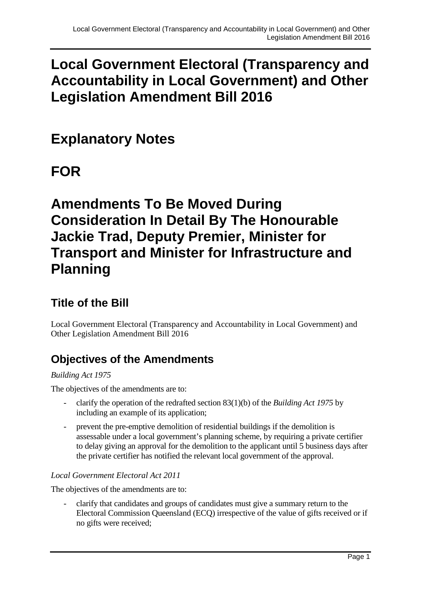## **Local Government Electoral (Transparency and Accountability in Local Government) and Other Legislation Amendment Bill 2016**

# **Explanatory Notes**

# **FOR**

# **Amendments To Be Moved During Consideration In Detail By The Honourable Jackie Trad, Deputy Premier, Minister for Transport and Minister for Infrastructure and Planning**

### **Title of the Bill**

Local Government Electoral (Transparency and Accountability in Local Government) and Other Legislation Amendment Bill 2016

## **Objectives of the Amendments**

#### *Building Act 1975*

The objectives of the amendments are to:

- clarify the operation of the redrafted section 83(1)(b) of the *Building Act 1975* by including an example of its application;
- prevent the pre-emptive demolition of residential buildings if the demolition is assessable under a local government's planning scheme, by requiring a private certifier to delay giving an approval for the demolition to the applicant until 5 business days after the private certifier has notified the relevant local government of the approval.

#### *Local Government Electoral Act 2011*

The objectives of the amendments are to:

- clarify that candidates and groups of candidates must give a summary return to the Electoral Commission Queensland (ECQ) irrespective of the value of gifts received or if no gifts were received;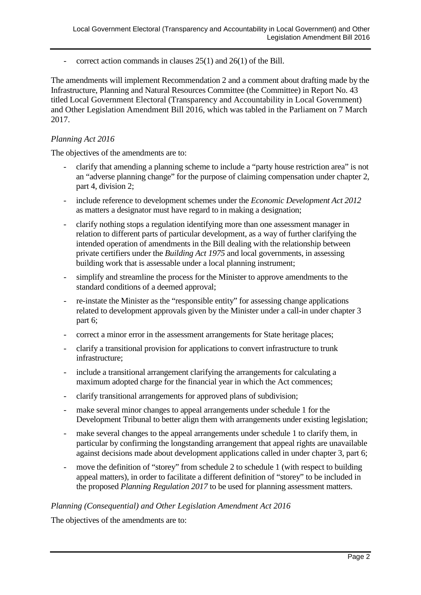- correct action commands in clauses 25(1) and 26(1) of the Bill.

The amendments will implement Recommendation 2 and a comment about drafting made by the Infrastructure, Planning and Natural Resources Committee (the Committee) in Report No. 43 titled Local Government Electoral (Transparency and Accountability in Local Government) and Other Legislation Amendment Bill 2016, which was tabled in the Parliament on 7 March 2017.

#### *Planning Act 2016*

The objectives of the amendments are to:

- clarify that amending a planning scheme to include a "party house restriction area" is not an "adverse planning change" for the purpose of claiming compensation under chapter 2, part 4, division 2;
- include reference to development schemes under the *Economic Development Act 2012* as matters a designator must have regard to in making a designation;
- clarify nothing stops a regulation identifying more than one assessment manager in relation to different parts of particular development, as a way of further clarifying the intended operation of amendments in the Bill dealing with the relationship between private certifiers under the *Building Act 1975* and local governments, in assessing building work that is assessable under a local planning instrument;
- simplify and streamline the process for the Minister to approve amendments to the standard conditions of a deemed approval;
- re-instate the Minister as the "responsible entity" for assessing change applications related to development approvals given by the Minister under a call-in under chapter 3 part 6;
- correct a minor error in the assessment arrangements for State heritage places;
- clarify a transitional provision for applications to convert infrastructure to trunk infrastructure;
- include a transitional arrangement clarifying the arrangements for calculating a maximum adopted charge for the financial year in which the Act commences;
- clarify transitional arrangements for approved plans of subdivision;
- make several minor changes to appeal arrangements under schedule 1 for the Development Tribunal to better align them with arrangements under existing legislation;
- make several changes to the appeal arrangements under schedule 1 to clarify them, in particular by confirming the longstanding arrangement that appeal rights are unavailable against decisions made about development applications called in under chapter 3, part 6;
- move the definition of "storey" from schedule 2 to schedule 1 (with respect to building appeal matters), in order to facilitate a different definition of "storey" to be included in the proposed *Planning Regulation 2017* to be used for planning assessment matters.

#### *Planning (Consequential) and Other Legislation Amendment Act 2016*

The objectives of the amendments are to: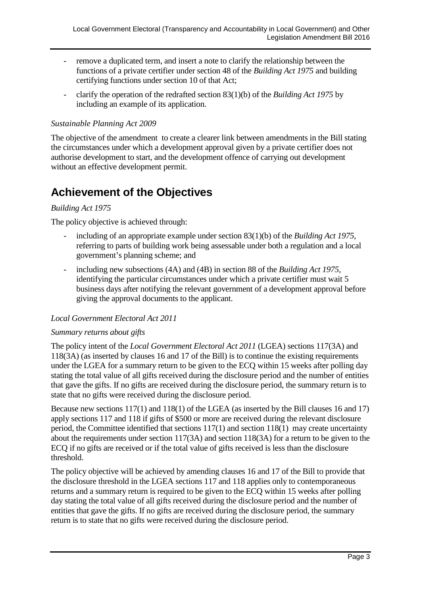- remove a duplicated term, and insert a note to clarify the relationship between the functions of a private certifier under section 48 of the *Building Act 1975* and building certifying functions under section 10 of that Act;
- clarify the operation of the redrafted section 83(1)(b) of the *Building Act 1975* by including an example of its application.

#### *Sustainable Planning Act 2009*

The objective of the amendment to create a clearer link between amendments in the Bill stating the circumstances under which a development approval given by a private certifier does not authorise development to start, and the development offence of carrying out development without an effective development permit.

### **Achievement of the Objectives**

#### *Building Act 1975*

The policy objective is achieved through:

- including of an appropriate example under section 83(1)(b) of the *Building Act 1975*, referring to parts of building work being assessable under both a regulation and a local government's planning scheme; and
- including new subsections (4A) and (4B) in section 88 of the *Building Act 1975*, identifying the particular circumstances under which a private certifier must wait 5 business days after notifying the relevant government of a development approval before giving the approval documents to the applicant.

#### *Local Government Electoral Act 2011*

#### *Summary returns about gifts*

The policy intent of the *Local Government Electoral Act 2011* (LGEA) sections 117(3A) and 118(3A) (as inserted by clauses 16 and 17 of the Bill) is to continue the existing requirements under the LGEA for a summary return to be given to the ECQ within 15 weeks after polling day stating the total value of all gifts received during the disclosure period and the number of entities that gave the gifts. If no gifts are received during the disclosure period, the summary return is to state that no gifts were received during the disclosure period.

Because new sections 117(1) and 118(1) of the LGEA (as inserted by the Bill clauses 16 and 17) apply sections 117 and 118 if gifts of \$500 or more are received during the relevant disclosure period, the Committee identified that sections 117(1) and section 118(1) may create uncertainty about the requirements under section 117(3A) and section 118(3A) for a return to be given to the ECQ if no gifts are received or if the total value of gifts received is less than the disclosure threshold.

The policy objective will be achieved by amending clauses 16 and 17 of the Bill to provide that the disclosure threshold in the LGEA sections 117 and 118 applies only to contemporaneous returns and a summary return is required to be given to the ECQ within 15 weeks after polling day stating the total value of all gifts received during the disclosure period and the number of entities that gave the gifts. If no gifts are received during the disclosure period, the summary return is to state that no gifts were received during the disclosure period.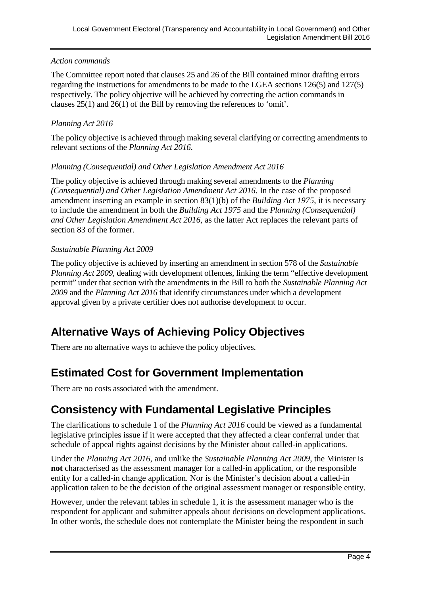#### *Action commands*

The Committee report noted that clauses 25 and 26 of the Bill contained minor drafting errors regarding the instructions for amendments to be made to the LGEA sections 126(5) and 127(5) respectively. The policy objective will be achieved by correcting the action commands in clauses 25(1) and 26(1) of the Bill by removing the references to 'omit'.

#### *Planning Act 2016*

The policy objective is achieved through making several clarifying or correcting amendments to relevant sections of the *Planning Act 2016*.

#### *Planning (Consequential) and Other Legislation Amendment Act 2016*

The policy objective is achieved through making several amendments to the *Planning (Consequential) and Other Legislation Amendment Act 2016*. In the case of the proposed amendment inserting an example in section 83(1)(b) of the *Building Act 1975*, it is necessary to include the amendment in both the *Building Act 1975* and the *Planning (Consequential) and Other Legislation Amendment Act 2016*, as the latter Act replaces the relevant parts of section 83 of the former.

#### *Sustainable Planning Act 2009*

The policy objective is achieved by inserting an amendment in section 578 of the *Sustainable Planning Act 2009*, dealing with development offences, linking the term "effective development permit" under that section with the amendments in the Bill to both the *Sustainable Planning Act 2009* and the *Planning Act 2016* that identify circumstances under which a development approval given by a private certifier does not authorise development to occur.

## **Alternative Ways of Achieving Policy Objectives**

There are no alternative ways to achieve the policy objectives.

### **Estimated Cost for Government Implementation**

There are no costs associated with the amendment.

### **Consistency with Fundamental Legislative Principles**

The clarifications to schedule 1 of the *Planning Act 2016* could be viewed as a fundamental legislative principles issue if it were accepted that they affected a clear conferral under that schedule of appeal rights against decisions by the Minister about called-in applications.

Under the *Planning Act 2016*, and unlike the *Sustainable Planning Act 2009*, the Minister is **not** characterised as the assessment manager for a called-in application, or the responsible entity for a called-in change application. Nor is the Minister's decision about a called-in application taken to be the decision of the original assessment manager or responsible entity.

However, under the relevant tables in schedule 1, it is the assessment manager who is the respondent for applicant and submitter appeals about decisions on development applications. In other words, the schedule does not contemplate the Minister being the respondent in such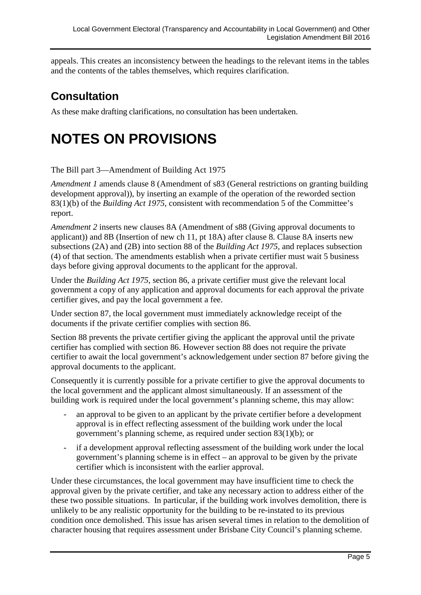appeals. This creates an inconsistency between the headings to the relevant items in the tables and the contents of the tables themselves, which requires clarification.

## **Consultation**

As these make drafting clarifications, no consultation has been undertaken.

# **NOTES ON PROVISIONS**

The Bill part 3—Amendment of Building Act 1975

*Amendment 1* amends clause 8 (Amendment of s83 (General restrictions on granting building development approval)), by inserting an example of the operation of the reworded section 83(1)(b) of the *Building Act 1975*, consistent with recommendation 5 of the Committee's report.

*Amendment 2* inserts new clauses 8A (Amendment of s88 (Giving approval documents to applicant)) and 8B (Insertion of new ch 11, pt 18A) after clause 8. Clause 8A inserts new subsections (2A) and (2B) into section 88 of the *Building Act 1975*, and replaces subsection (4) of that section. The amendments establish when a private certifier must wait 5 business days before giving approval documents to the applicant for the approval.

Under the *Building Act 1975*, section 86, a private certifier must give the relevant local government a copy of any application and approval documents for each approval the private certifier gives, and pay the local government a fee.

Under section 87, the local government must immediately acknowledge receipt of the documents if the private certifier complies with section 86.

Section 88 prevents the private certifier giving the applicant the approval until the private certifier has complied with section 86. However section 88 does not require the private certifier to await the local government's acknowledgement under section 87 before giving the approval documents to the applicant.

Consequently it is currently possible for a private certifier to give the approval documents to the local government and the applicant almost simultaneously. If an assessment of the building work is required under the local government's planning scheme, this may allow:

- an approval to be given to an applicant by the private certifier before a development approval is in effect reflecting assessment of the building work under the local government's planning scheme, as required under section 83(1)(b); or
- if a development approval reflecting assessment of the building work under the local government's planning scheme is in effect – an approval to be given by the private certifier which is inconsistent with the earlier approval.

Under these circumstances, the local government may have insufficient time to check the approval given by the private certifier, and take any necessary action to address either of the these two possible situations. In particular, if the building work involves demolition, there is unlikely to be any realistic opportunity for the building to be re-instated to its previous condition once demolished. This issue has arisen several times in relation to the demolition of character housing that requires assessment under Brisbane City Council's planning scheme.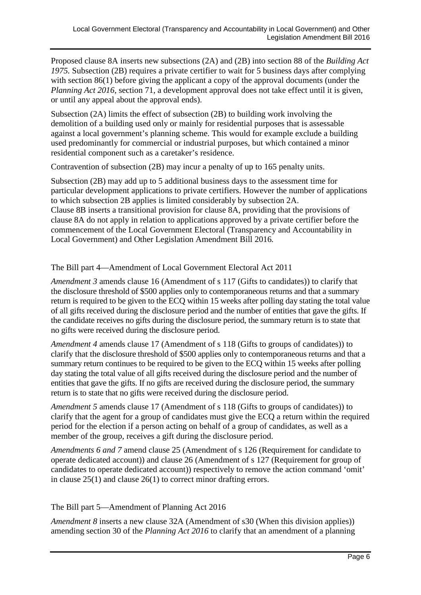Proposed clause 8A inserts new subsections (2A) and (2B) into section 88 of the *Building Act 1975.* Subsection (2B) requires a private certifier to wait for 5 business days after complying with section 86(1) before giving the applicant a copy of the approval documents (under the *Planning Act 2016*, section 71, a development approval does not take effect until it is given, or until any appeal about the approval ends).

Subsection (2A) limits the effect of subsection (2B) to building work involving the demolition of a building used only or mainly for residential purposes that is assessable against a local government's planning scheme. This would for example exclude a building used predominantly for commercial or industrial purposes, but which contained a minor residential component such as a caretaker's residence.

Contravention of subsection (2B) may incur a penalty of up to 165 penalty units.

Subsection (2B) may add up to 5 additional business days to the assessment time for particular development applications to private certifiers. However the number of applications to which subsection 2B applies is limited considerably by subsection 2A. Clause 8B inserts a transitional provision for clause 8A, providing that the provisions of clause 8A do not apply in relation to applications approved by a private certifier before the commencement of the Local Government Electoral (Transparency and Accountability in Local Government) and Other Legislation Amendment Bill 2016*.*

The Bill part 4—Amendment of Local Government Electoral Act 2011

*Amendment 3* amends clause 16 (Amendment of s 117 (Gifts to candidates)) to clarify that the disclosure threshold of \$500 applies only to contemporaneous returns and that a summary return is required to be given to the ECQ within 15 weeks after polling day stating the total value of all gifts received during the disclosure period and the number of entities that gave the gifts. If the candidate receives no gifts during the disclosure period, the summary return is to state that no gifts were received during the disclosure period.

*Amendment 4* amends clause 17 (Amendment of s 118 (Gifts to groups of candidates)) to clarify that the disclosure threshold of \$500 applies only to contemporaneous returns and that a summary return continues to be required to be given to the ECQ within 15 weeks after polling day stating the total value of all gifts received during the disclosure period and the number of entities that gave the gifts. If no gifts are received during the disclosure period, the summary return is to state that no gifts were received during the disclosure period.

*Amendment 5* amends clause 17 (Amendment of s 118 (Gifts to groups of candidates)) to clarify that the agent for a group of candidates must give the ECQ a return within the required period for the election if a person acting on behalf of a group of candidates, as well as a member of the group, receives a gift during the disclosure period.

*Amendments 6 and 7* amend clause 25 (Amendment of s 126 (Requirement for candidate to operate dedicated account)) and clause 26 (Amendment of s 127 (Requirement for group of candidates to operate dedicated account)) respectively to remove the action command 'omit' in clause 25(1) and clause 26(1) to correct minor drafting errors.

#### The Bill part 5—Amendment of Planning Act 2016

*Amendment 8* inserts a new clause 32A (Amendment of s30 (When this division applies)) amending section 30 of the *Planning Act 2016* to clarify that an amendment of a planning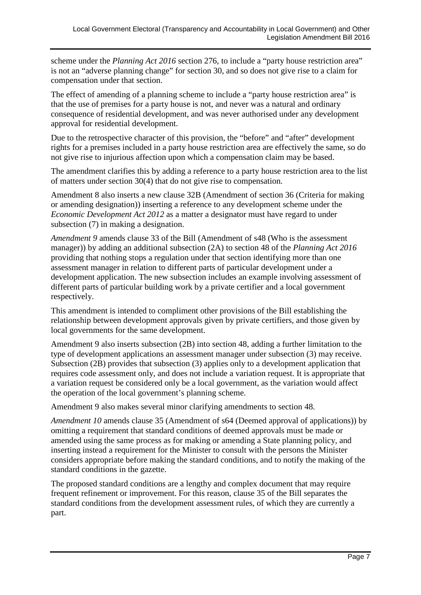scheme under the *Planning Act 2016* section 276, to include a "party house restriction area" is not an "adverse planning change" for section 30, and so does not give rise to a claim for compensation under that section.

The effect of amending of a planning scheme to include a "party house restriction area" is that the use of premises for a party house is not, and never was a natural and ordinary consequence of residential development, and was never authorised under any development approval for residential development.

Due to the retrospective character of this provision, the "before" and "after" development rights for a premises included in a party house restriction area are effectively the same, so do not give rise to injurious affection upon which a compensation claim may be based.

The amendment clarifies this by adding a reference to a party house restriction area to the list of matters under section 30(4) that do not give rise to compensation.

Amendment 8 also inserts a new clause 32B (Amendment of section 36 (Criteria for making or amending designation)) inserting a reference to any development scheme under the *Economic Development Act 2012* as a matter a designator must have regard to under subsection (7) in making a designation.

*Amendment 9* amends clause 33 of the Bill (Amendment of s48 (Who is the assessment manager)) by adding an additional subsection (2A) to section 48 of the *Planning Act 2016* providing that nothing stops a regulation under that section identifying more than one assessment manager in relation to different parts of particular development under a development application. The new subsection includes an example involving assessment of different parts of particular building work by a private certifier and a local government respectively.

This amendment is intended to compliment other provisions of the Bill establishing the relationship between development approvals given by private certifiers, and those given by local governments for the same development.

Amendment 9 also inserts subsection (2B) into section 48, adding a further limitation to the type of development applications an assessment manager under subsection (3) may receive. Subsection (2B) provides that subsection (3) applies only to a development application that requires code assessment only, and does not include a variation request. It is appropriate that a variation request be considered only be a local government, as the variation would affect the operation of the local government's planning scheme.

Amendment 9 also makes several minor clarifying amendments to section 48.

*Amendment 10* amends clause 35 (Amendment of s64 (Deemed approval of applications)) by omitting a requirement that standard conditions of deemed approvals must be made or amended using the same process as for making or amending a State planning policy, and inserting instead a requirement for the Minister to consult with the persons the Minister considers appropriate before making the standard conditions, and to notify the making of the standard conditions in the gazette.

The proposed standard conditions are a lengthy and complex document that may require frequent refinement or improvement. For this reason, clause 35 of the Bill separates the standard conditions from the development assessment rules, of which they are currently a part.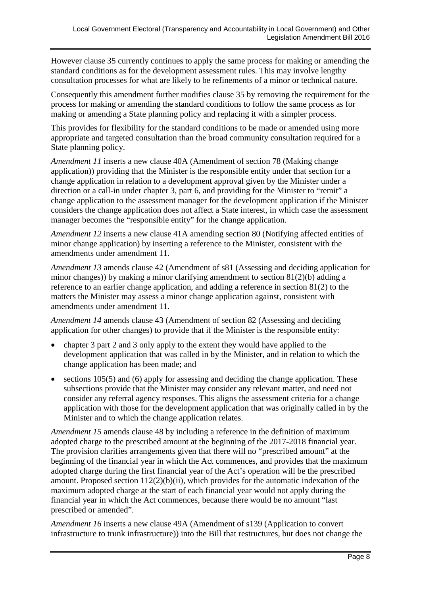However clause 35 currently continues to apply the same process for making or amending the standard conditions as for the development assessment rules. This may involve lengthy consultation processes for what are likely to be refinements of a minor or technical nature.

Consequently this amendment further modifies clause 35 by removing the requirement for the process for making or amending the standard conditions to follow the same process as for making or amending a State planning policy and replacing it with a simpler process.

This provides for flexibility for the standard conditions to be made or amended using more appropriate and targeted consultation than the broad community consultation required for a State planning policy.

*Amendment 11* inserts a new clause 40A (Amendment of section 78 (Making change application)) providing that the Minister is the responsible entity under that section for a change application in relation to a development approval given by the Minister under a direction or a call-in under chapter 3, part 6, and providing for the Minister to "remit" a change application to the assessment manager for the development application if the Minister considers the change application does not affect a State interest, in which case the assessment manager becomes the "responsible entity" for the change application.

*Amendment 12* inserts a new clause 41A amending section 80 (Notifying affected entities of minor change application) by inserting a reference to the Minister, consistent with the amendments under amendment 11.

*Amendment 13* amends clause 42 (Amendment of s81 (Assessing and deciding application for minor changes)) by making a minor clarifying amendment to section 81(2)(b) adding a reference to an earlier change application, and adding a reference in section 81(2) to the matters the Minister may assess a minor change application against, consistent with amendments under amendment 11.

*Amendment 14* amends clause 43 (Amendment of section 82 (Assessing and deciding application for other changes) to provide that if the Minister is the responsible entity:

- chapter 3 part 2 and 3 only apply to the extent they would have applied to the development application that was called in by the Minister, and in relation to which the change application has been made; and
- sections 105(5) and (6) apply for assessing and deciding the change application. These subsections provide that the Minister may consider any relevant matter, and need not consider any referral agency responses. This aligns the assessment criteria for a change application with those for the development application that was originally called in by the Minister and to which the change application relates.

*Amendment 15* amends clause 48 by including a reference in the definition of maximum adopted charge to the prescribed amount at the beginning of the 2017-2018 financial year. The provision clarifies arrangements given that there will no "prescribed amount" at the beginning of the financial year in which the Act commences, and provides that the maximum adopted charge during the first financial year of the Act's operation will be the prescribed amount. Proposed section  $112(2)(b)(ii)$ , which provides for the automatic indexation of the maximum adopted charge at the start of each financial year would not apply during the financial year in which the Act commences, because there would be no amount "last prescribed or amended".

*Amendment 16* inserts a new clause 49A (Amendment of s139 (Application to convert infrastructure to trunk infrastructure)) into the Bill that restructures, but does not change the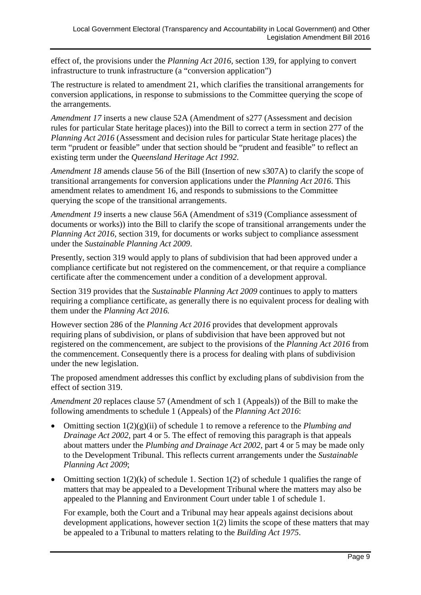effect of, the provisions under the *Planning Act 2016*, section 139, for applying to convert infrastructure to trunk infrastructure (a "conversion application")

The restructure is related to amendment 21, which clarifies the transitional arrangements for conversion applications, in response to submissions to the Committee querying the scope of the arrangements.

*Amendment 17* inserts a new clause 52A (Amendment of s277 (Assessment and decision rules for particular State heritage places)) into the Bill to correct a term in section 277 of the *Planning Act 2016* (Assessment and decision rules for particular State heritage places) the term "prudent or feasible" under that section should be "prudent and feasible" to reflect an existing term under the *Queensland Heritage Act 1992*.

*Amendment 18* amends clause 56 of the Bill (Insertion of new s307A) to clarify the scope of transitional arrangements for conversion applications under the *Planning Act 2016*. This amendment relates to amendment 16, and responds to submissions to the Committee querying the scope of the transitional arrangements.

*Amendment 19* inserts a new clause 56A (Amendment of s319 (Compliance assessment of documents or works)) into the Bill to clarify the scope of transitional arrangements under the *Planning Act 2016,* section 319, for documents or works subject to compliance assessment under the *Sustainable Planning Act 2009*.

Presently, section 319 would apply to plans of subdivision that had been approved under a compliance certificate but not registered on the commencement, or that require a compliance certificate after the commencement under a condition of a development approval.

Section 319 provides that the *Sustainable Planning Act 2009* continues to apply to matters requiring a compliance certificate, as generally there is no equivalent process for dealing with them under the *Planning Act 2016.*

However section 286 of the *Planning Act 2016* provides that development approvals requiring plans of subdivision, or plans of subdivision that have been approved but not registered on the commencement, are subject to the provisions of the *Planning Act 2016* from the commencement. Consequently there is a process for dealing with plans of subdivision under the new legislation.

The proposed amendment addresses this conflict by excluding plans of subdivision from the effect of section 319.

*Amendment 20* replaces clause 57 (Amendment of sch 1 (Appeals)) of the Bill to make the following amendments to schedule 1 (Appeals) of the *Planning Act 2016*:

- Omitting section 1(2)(g)(ii) of schedule 1 to remove a reference to the *Plumbing and Drainage Act 2002,* part 4 or 5. The effect of removing this paragraph is that appeals about matters under the *Plumbing and Drainage Act 2002,* part 4 or 5 may be made only to the Development Tribunal. This reflects current arrangements under the *Sustainable Planning Act 2009*;
- Omitting section  $1(2)(k)$  of schedule 1. Section  $1(2)$  of schedule 1 qualifies the range of matters that may be appealed to a Development Tribunal where the matters may also be appealed to the Planning and Environment Court under table 1 of schedule 1.

For example, both the Court and a Tribunal may hear appeals against decisions about development applications, however section 1(2) limits the scope of these matters that may be appealed to a Tribunal to matters relating to the *Building Act 1975*.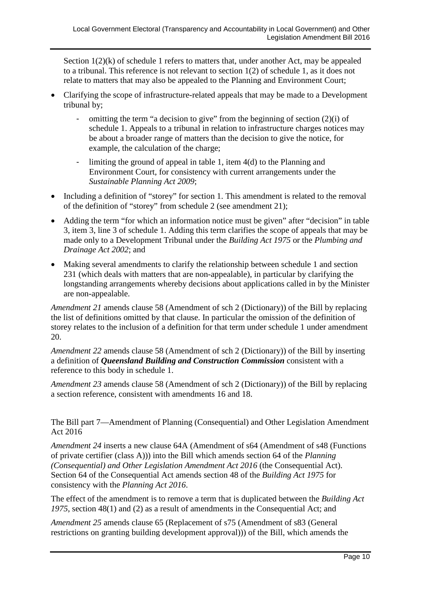Section  $1(2)(k)$  of schedule 1 refers to matters that, under another Act, may be appealed to a tribunal. This reference is not relevant to section 1(2) of schedule 1, as it does not relate to matters that may also be appealed to the Planning and Environment Court;

- Clarifying the scope of infrastructure-related appeals that may be made to a Development tribunal by;
	- omitting the term "a decision to give" from the beginning of section  $(2)(i)$  of schedule 1. Appeals to a tribunal in relation to infrastructure charges notices may be about a broader range of matters than the decision to give the notice, for example, the calculation of the charge;
	- limiting the ground of appeal in table 1, item 4(d) to the Planning and Environment Court, for consistency with current arrangements under the *Sustainable Planning Act 2009*;
- Including a definition of "storey" for section 1. This amendment is related to the removal of the definition of "storey" from schedule 2 (see amendment 21);
- Adding the term "for which an information notice must be given" after "decision" in table 3, item 3, line 3 of schedule 1. Adding this term clarifies the scope of appeals that may be made only to a Development Tribunal under the *Building Act 1975* or the *Plumbing and Drainage Act 2002*; and
- Making several amendments to clarify the relationship between schedule 1 and section 231 (which deals with matters that are non-appealable), in particular by clarifying the longstanding arrangements whereby decisions about applications called in by the Minister are non-appealable.

*Amendment 21* amends clause 58 (Amendment of sch 2 (Dictionary)) of the Bill by replacing the list of definitions omitted by that clause. In particular the omission of the definition of storey relates to the inclusion of a definition for that term under schedule 1 under amendment 20.

*Amendment 22* amends clause 58 (Amendment of sch 2 (Dictionary)) of the Bill by inserting a definition of *Queensland Building and Construction Commission* consistent with a reference to this body in schedule 1.

*Amendment 23* amends clause 58 (Amendment of sch 2 (Dictionary)) of the Bill by replacing a section reference, consistent with amendments 16 and 18.

The Bill part 7—Amendment of Planning (Consequential) and Other Legislation Amendment Act 2016

*Amendment 24* inserts a new clause 64A (Amendment of s64 (Amendment of s48 (Functions of private certifier (class A))) into the Bill which amends section 64 of the *Planning (Consequential) and Other Legislation Amendment Act 2016* (the Consequential Act). Section 64 of the Consequential Act amends section 48 of the *Building Act 1975* for consistency with the *Planning Act 2016*.

The effect of the amendment is to remove a term that is duplicated between the *Building Act 1975*, section 48(1) and (2) as a result of amendments in the Consequential Act; and

*Amendment 25* amends clause 65 (Replacement of s75 (Amendment of s83 (General restrictions on granting building development approval))) of the Bill, which amends the